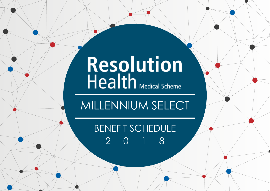# Resolution<br>Health Medical Scheme

MILLENNIUM SELECT

BENEFIT SCHEDULE 2018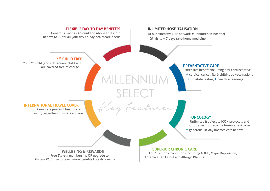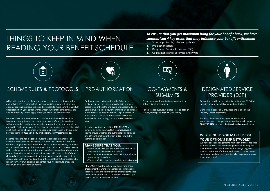### THINGS TO KEEP IN MIND WHEN READING YOUR BENEFIT SCHEDULE

#### *To ensure that you get maximum bang for your benefit buck, we have summarised 4 key areas that may influence your benefit entitlement*

- 1. Scheme protocols, rules and policies
- 2. Pre-authorisation
- 3. Designated Service Providers (DSP)
- 4. Co-payments and sub-limits; and PMBs



#### SCHEME RULES & PROTOCOLS PRE-AUTHORISATION CO-PAYMENTS &

All benefits and the use of each are subject to Scheme protocols, rules and policies. It's very important that you familiarise yourself with your option's applicable rules, policies and protocols to make sure that you fully understand how your option works, what your benefit entitlements are and whether any criteria apply when you make use of your cover.

Because these protocols, rules and policies are influenced by various factors and are quite tricky to understand, we prefer to discuss them with our members and provide detailed information on how they will be applied to each unique case. If you have any questions, you can either visit us at the Scheme's head office in Randburg or get in touch with our Client Services team on **0861 796 6400** or **clientservices@resomed.co.za**.

Scheme rules are non-negotiable rules that cannot be changed. For example, Resolution Health's rules state that the Scheme will not fund cosmetic surgery. Because Resolution Health is wholeheartedly committed to the overall wellbeing of our members, your health and disease severity will, to a large extent, determine your benefit access and entitlement, the protocols applied as well as your unique care path (refer to the *Patient Driven Care*™ section on **page 5**). In these instances, make sure that you discuss your individual needs with your Personal Health Coordinator who is like your very own personal banker for your wellbeing, to enjoy the maximum level of cover and benefits.

Getting pre-authorisation from the Scheme is probably one of the easiest ways to gain seamless access to your benefits and avoid unnecessary delays. Because we like to empower our members and make it as effortless as possible for you to gain access to your benefits, our pre-authorisation call centre is available 24 hours a day, 7 days a week, 365 days a year.

It really is as simple as calling **0861 111 778** or sending an email to **preauth@resomed.co.za**. If you're unsure whether pre-authorisation applies to any of your benefits, rather get in touch with the team to double check.

#### **MAKE SURE THAT YOU:**

- » Get in touch with our pre-authorisation team 14 days before an elective procedure
- » Let the same team know within 48 hours after an emergency procedure
- » There is a 20% co-payment on late authorisations

REMEMBER that the Scheme will only fund those procedures that were pre-authorised so make sure that you ask your doctor if any additional items need to be added afterwards. If so, keep in mind that you have to let us know within 48 hours.



### SUB-LIMITS

Co-payments and sub-limits are applied to a defined list of procedures.

For a detailed overview, please refer to **page 14** (co-payments) and **page 16** (sub-limits).

#### DESIGNATED SERVICE PROVIDER (DSP)

Resolution Health has an extensive network of DSPs that includes private hospitals and medical doctors.

Our network spans all 9 provinces and is one of the industry's most impressive.

For a list of your option's network, simply visit www.resomed.co.za, get in touch with our call centre on **0861 796 6400** or email **clientservices@resomed.co.za**.

#### **WHY SHOULD YOU MAKE USE OF YOUR OPTION'S DSP NETWORK?**

We have special arrangements with each of these facilities to make sure that our members get maximum bang for their benefit buck. Resolution Health always suggests that you make use of this network when it comes to your healthcare needs to limit out-of-pocket expenses or avoid them altogether!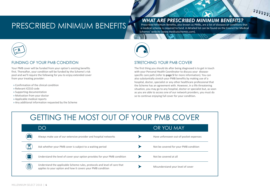### PRESCRIBED MINIMUM BENEFITS

*WHAT ARE PRESCRIBED MINIMUM BENEFITS?* 

Prescribed Minimum Benefits, also known as PMBs, are a list of diseases or conditions that a medical scheme is required to fund. A detailed list can be found on the Council for Medical Schemes' website (www.medicalschemes.com).

 $\begin{array}{c} \begin{array}{c} u & v \\ v & v \\ z & z \end{array} \end{array}$ 



#### FUNDING OF YOUR PMB CONDITION

Your PMB cover will be funded from your option's existing benefits first. Thereafter, your condition will be funded by the Scheme's risk pool and we'll require the following for you to enjoy extended cover from your treating provider:

- » Confirmation of the clinical condition
- » Relevant ICD10 code
- » Supporting documentation
- » Motivation from your doctor
- » Applicable medical reports
- » Any additional information requested by the Scheme



#### STRETCHING YOUR PMB COVER

The first thing you should do after being diagnosed is to get in touch with your Personal Health Coordinator to discuss your diseasespecific care path (refer to **page 5** for more information). You can also substantially stretch your PMB benefits by making use of a hospital, doctor, specialist or any other healthcare professional that the Scheme has an agreement with. However, in a life threatening situation, you may go to any hospital, doctor or specialist but, as soon as you are able to access one of our network providers, you must do so to continue enjoying full cover for your condition.

### GETTING THE MOST OUT OF YOUR PMB COVER

|              | DO                                                                                                                                      | OR YOU MAY                             |
|--------------|-----------------------------------------------------------------------------------------------------------------------------------------|----------------------------------------|
| HE           | Always make use of our extensive provider and hospital networks                                                                         | Have unforeseen out-of-pocket expenses |
|              | Ask whether your PMB cover is subject to a waiting period                                                                               | Not be covered for your PMB condition  |
| $\mathbb{M}$ | Understand the level of cover your option provides for your PMB condition                                                               | Not be covered at all                  |
| ê)           | Understand the applicable Scheme rules, protocols and level of care that<br>applies to your option and how it covers your PMB condition | Misunderstand your level of cover      |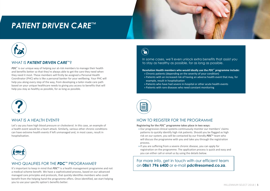### *PATIENT DRIVEN CARE*™



#### WHAT IS *PATIENT DRIVEN CARE*™?

*PDC*<sup>™</sup> is our unique way of helping our at-risk members to manage their health and benefits better so that they're always able to get the care they need when they need it most. These members will firstly be assigned a Personal Health Coordinator (PHC) who is like a personal banker for your wellbeing. Your PHC will help you along every step of the way, from developing a tailor-made care path based on your unique healthcare needs to giving you access to benefits that will help you stay as healthy as possible, for as long as possible.



#### WHAT IS A HFAITH FVFNT?

Let's say you have high blood pressure or cholesterol. In this case, an example of a health event would be a heart attack. Similarly, various other chronic conditions can have extreme health events if left unmanaged and, in most cases, result in hospitalisation.



#### WHO QUALIFIES FOR THE *PDC*™ PROGRAMME?

a medical scheme benefit. We have a sophisticated process, based on our advanced managed care principles and protocols, that quickly identifies members who could benefit from the helping hand the programme offers. Once identified, we start helping you to use your specific option's benefits better.

 $\left(\textcolor{red}{\bullet}\right)$ 

In some cases, we'll even unlock extra benefits that assist you to stay as healthy as possible, for as long as possible.

 $A = \frac{1}{2}$ as healthy as possible. So we developed the industry first *Patient Driven Care*™ (*PDC*™) programme, our unique way of other support to the other support to the sometimes who sometimes who sometimes w

A HELPING HAND FOR OUR HIGH-RISK MEMBERS

#### **Resolution Health members who would ideally use the** *PDC***™ programme include:**

» Chronic patients (depending on the severity of your condition)

need a helping hand when it comes to taking care of the intervals of the intervals of the intervals of the intervals of the intervals of the intervals of the intervals of the intervals of the intervals of the intervals of

- » Patients with an increased risk of having an adverse health event that may, for example, result in hospitalisation
- » Patients who have had severe in-hospital or other acute health events
- » Patients with rare diseases who need constant monitoring



#### HOW TO REGISTER FOR THE PROGRAMME

**Registering for the** *PDC***™ programme takes place in two ways:**

- » Our progressive clinical systems continuously monitor our members' claims patterns to quickly identify high risk patients. Should you be flagged as high risk on our system, you will be contacted by our friendly *PDC*™ team who will discuss the programme with you and take you through the registration process.
- » If you are suffering from a severe chronic disease, you can apply for registration on the programme. The application process is quick and easy and you can either call or email us by using the details below.

For more info, get in touch with our efficient team ON **0861 796 6400** or e-mail **pdc@resomed.co.za.** 11. It's important to keep in mind that *PDC*™ is a health management programme and not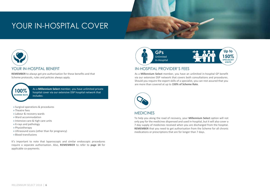### YOUR IN-HOSPITAL COVER



#### YOUR IN-HOSPITAL BENEFIT

**REMEMBER** to always get pre-authorisation for these benefits and that Scheme protocols, rules and policies always apply.



As a **Millennium Select** member, you have unlimited private hospital cover via our extensive DSP hospital network that includes:

- » Surgical operations & procedures
- » Theatre fees
- » Labour & recovery wards
- » Ward accommodation
- » Intensive care & high care units
- » X-rays and pathology
- » Physiotherapy
- » Ultrasound scans (other than for pregnancy)
- » Blood transfusions

It's important to note that laparoscopic and similar endoscopic procedures require a separate authorisation. Also, **REMEMBER** to refer to **page 14** for applicable co-payments.



#### IN-HOSPITAL PROVIDER'S FEES

As a **Millennium Select** member, you have an unlimited in-hospital GP benefit via our extensive DSP network that covers both consultations and procedures. Should you require the expert skills of a specialist, you can rest assured that you are more than covered at up to **150% of Scheme Rate**.



#### **MEDICINES**

To help you along the road of recovery, your **Millennium Select** option will not only pay for the medicines dispensed and used in-hospital, but it will also cover a 7-day supply of medicines received when you are discharged from the hospital. **REMEMBER** that you need to get authorisation from the Scheme for all chronic medications or prescriptions that are for longer than 7 days.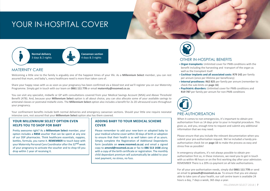### YOUR IN-HOSPITAL COVER



#### MATERNITY CARE

Welcoming a little one to the family is arguably one of the happiest times of your life. As a **Millennium Select** member, you can rest assured that mum, and baby's, every healthcare need is more than taken care of.

Share your happy news with us as soon as your pregnancy has been confirmed via a blood test and we'll register you on our Maternity Programme. Simply get in touch with our team on **0861 111 778** or email **maternity@resomed.co.za**.

You can visit any specialist, midwife or GP with consultations covered from your Medical Savings Account (MSA) and Above Threshold Benefit (ATB). And, because your **Millennium Select** option is all about choice, you can also allocate some of your available savings to antenatal classes or postnatal midwife visits. The **Millennium Select** option also includes a benefit for 2x 2D ultrasound scans throughout your pregnancy.

Your confinement benefits include both normal deliveries and emergency caesarean sections. Should your little one require neonatal intensive care, rest assured that your **Millennium Select** option also has them covered.

#### **YOUR MILLENNIUM SELECT OPTION EVEN HELPS YOU TO SHOP FOR BABY**

Pretty awesome right? As a **Millennium Select** member, your option includes a **R858** voucher that can be spent at any one of our DSP pharmacies. Think healthcare essentials, nappies, bottles, formula, you name it. **REMEMBER** to touch base with your Maternity Personal Care Coordinator after the 32<sup>nd</sup> week of your pregnancy to activate the voucher and to shop till you drop within 1 year of receiving it.

#### **ADDING BABY TO YOUR MEDICAL SCHEME COVER**

Please remember to add your new-born or adopted baby to your medical scheme cover within 30 days of birth or adoption to ensure that their health is as well taken care of as yours. Simply complete the Registration of Additional Dependants form (available on **www.resomed.co.za**) and email a signed copy to **amend@resomed.co.za** or fax to **086 513 1438** along with a copy of the birth certificate or registration. The monthly child dependant premium will automatically be added to your next payment, no stress, no fuss.



#### OTHER IN-HOSPITAL BENEFITS

- » **Organ transplants:** Unlimited cover for PMB conditions with the benefit including the harvesting and transport of the organ as well as the transplant itself
- » **Cochlear implants and all associated costs: R79 142** per family per annum (once per lifetime per beneficiary)
- » **Internal prostheses: R62 825** per family per annum (remember to check the sub-limits on **page 16**)
- » **Psychiatric disorders:** Unlimited cover for PMB conditions and **R19 787** per family per annum for non-PMB conditions



When it comes to non-emergencies, it's important to obtain preauthorisation from us 14 days prior to your in-hospital procedure. This gives us, and you, enough time to request and submit any additional information that we may need.

Please ensure that you include the relevant documentation when you submit your pre-authorisation request. We've included a handy preauthorisation check list on **page 15** to make the process as easy and stress free as possible!

In emergency situations, it's not always possible to obtain preauthorisation first so, in these instances, we need you to get in touch with us within 48 hours or on the first working day after your admission. REMEMBER There is a 20% co-payment on all late authorisations.

For all your pre-authorisation needs, simply dial **0861 111 778** or send an email to **preauth@resomed.co.za**. To ensure that you are always able to take care of your health, our call centre team is available 24 hours a day, 7 days a week, 365 days a year.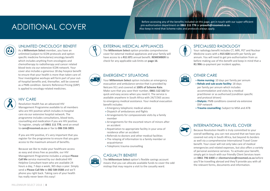### ADDITIONAL COVER

Before accessing any of the benefits included on this page, get in touch with our super-efficient pre-authorisation department on **0861 111 778** or **preauth@resomed.co.za**. Also keep in mind that Scheme rules and protocols always apply.



#### UNLIMITED ONCOLOGY BENEFIT

As a **Millennium Select** member, you have an unlimited (subject to ICON protocols and option specific medicine formularies) oncology benefit which includes anything from oncologists and chemotherapy to radiotherapy and cancer related blood tests via our extensive ICON network. Your cover also includes a generous 18 day hospice benefit to ensure that your health is more than taken care of. Your investigative workups will form part of your outof-hospital benefits and, thereafter, will be covered as a PMB condition. Generic Reference Pricing (GRP) is applied to oncology-related medicines.



#### HIV CARE

Resolution Health has an advanced HIV Management Programme available to all members who are HIV positive which includes in-hospital care via our extensive hospital network. The programme includes consultations, blood tests, counselling and medication if you are HIV positive. To register, simply call **0861 111 778**, send an email to **care@resomed.co.za** or fax to **086 556 3855**.

If you are HIV positive, it's very important that you register for the programme to ensure that you gain access to the maximum amount of benefits.

Because we like to make your healthcare access as easy and stress free as possible, our HIV Management Programme includes a unique **Please Call Me** service manned by our dedicated HIV Helpline Consultant team who are available 24 hours a day, 7 days a week, 365 days a year. Simply send a **Please Call Me** to **082 584 0588** and we'll phone you right back. Taking care of your health has really never been this easy!



#### EXTERNAL MEDICAL APPLIANCES

The **Millennium Select** option provides comprehensive cover for external medical appliances and your family will have access to a **R11 871** annual benefit. **REMEMBER** to check for any applicable sub-limits on **page 16**.

#### EMERGENCY SITUATIONS

Your **Millennium Select** option includes an emergency evacuation and ambulance service that is provided by Netcare 911 and covered at **100% of Scheme Rate**. Make sure that you save their number, **0861 112 162** for quick and easy access when you need it. The service is available anywhere in South Africa with 24/7/365 access to emergency medical assistance. Your medical evacuation benefit includes:

- » Emergency telephonic medical advice
- » Dispatch of ambulances and flights
- » Arrangements for compassionate visits by a family member
- » Arrangements for the escorted return of minors after an accident
- » Repatriation to appropriate facility in your area of residence after an accident
- » Referrals to doctors and other medical facilities
- » The relaying of information to a family member or acquaintance
- » Telephonic trauma counselling

#### CASUALTY BENEFIT

The **Millennium Select** option's flexible savings account means that you can allocate available funds to cover the odd mishap that may require a visit to the casualty ward.



#### SPECIALISED RADIOLOGY

Your radiology benefit includes CT, MRI, PET and Nuclear Medicine scans with a **R15 828** benefit per family per annum. You will need to get pre-authorisation from us before making use of this benefit and keep in mind that a **R1 996** co-payment per incident applies.



#### OTHER CARE

- » **Home nursing:** 10 days per family per annum
- » **Rehab and sub-acute facility:** 18 days per family per annum which includes accommodation and visits by a medical practitioner or as authorised (condition specific and protocol driven)
- » **Dialysis:** PMB conditions covered via extensive DSP network
- » **Trauma counselling:** Subject to MSA and ATB



#### INTERNATIONAL TRAVEL COVER

Because Resolution Health is truly committed to your overall wellbeing, you can rest assured that we have you covered not only in South Africa, but beyond its borders as well via a comprehensive International Travel Cover benefit. Your cover will not only take care of medical emergencies and related expenses, but also offers a variety of personal assistance services. To activate your benefit, simply get in touch with our friendly Client Services team on **0861 796 6400** or **clientservices@resomed.co.za** before you'll be travelling abroad and they'll provide you with all the relevant forms, documents and information.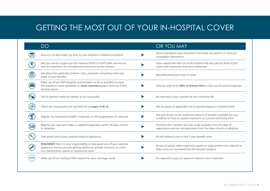### GETTING THE MOST OUT OF YOUR IN-HOSPITAL COVER

|             | <b>DO</b>                                                                                                                                                                                               | OR YOU MAY                                                                                                                                    |
|-------------|---------------------------------------------------------------------------------------------------------------------------------------------------------------------------------------------------------|-----------------------------------------------------------------------------------------------------------------------------------------------|
|             | Give us a 14 day head's up prior to your elective in-hospital procedure                                                                                                                                 | Have to postpone your procedure if we have any queries or received<br>incomplete information                                                  |
|             | Ask your doctor to give you the relevant ICD10 or tariff codes and ensure<br>that all treatments are included and authorised by the Scheme                                                              | Have unpaid bills later on as the Scheme will only pay for those ICD10<br>codes and treatments that were authorised                           |
| 圓           | Ask about the applicable Scheme rules, protocols and policies that may<br>apply to your benefits                                                                                                        | Misunderstand your level of cover                                                                                                             |
| <b>if</b>   | Make use of our DSP hospitals and providers as far as possible to enjoy<br>the maximum cover (available on www.resomed.co.za or from our Client<br>Services team)                                       | Only be covered at 100% of Scheme Rate or face out-of-pocket expenses                                                                         |
|             | Ask for generic medicine options as far as possible                                                                                                                                                     | Be required to pay a portion of your medicine bill                                                                                            |
|             | Check the co-payment and sub-limit list on pages 14 & 16                                                                                                                                                | Not be aware of applicable out-of-pocket expenses or benefit limits                                                                           |
|             | Register for Resolution Health's maternity or HIV programmes (if relevant)                                                                                                                              | Not gain access to the maximum amount of benefits available for your<br>condition or have to receive treatment at a provincial facility (HIV) |
|             | Register you new-born baby or adopted dependant within 30 days of birth<br>or adoption                                                                                                                  | Find that their benefits are only made available from the date of<br>registration and not retrospectively from the date of birth or adoption  |
|             | Take good care of your external medical appliances                                                                                                                                                      | Be left without cover in the 3-year benefit cycle                                                                                             |
|             | REMEMBER that it is your responsibility to take good care of your external<br>appliances and to consider getting additional, private insurance to cover<br>any maintenance, spares or accessories costs | Be out of pocket when expensive repairs or replacements are required as<br>these costs are excluded from this benefit category                |
| <b>ICON</b> | Make use of our leading ICON network for your oncology needs                                                                                                                                            | Be required to pay a co-payment towards your treatment                                                                                        |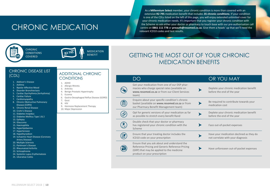### CHRONIC MEDICATION

As a **Millennium Select** member, your chronic condition is more than covered with an extensive **R2 795** medication benefit that includes **35 chronic conditions**. If your condition is one of the CDLs listed on the left of this page, you will enjoy extended unlimited cover for your chronic medication needs. It's important that you register your chronic condition with the Scheme so ask either your doctor or pharmacy to touch base with our pre-authorisation call centre on **0861 111 778** or **preauth@resomed.co.za**. Give them a heads' up that we'll need the relevant ICD10 codes and test results.

**35**



MEDICATION **BENEFIT** 

### GETTING THE MOST OUT OF YOUR CHRONIC MEDICATION BENEFITS

#### CHRONIC DISEASE LIST (CDL) ADDITIONAL CHRONIC

**CHRONIC** CONDITIONS COVERED

- 1. Addison's Disease
- 2. Asthma
- 3. Bipolar Affective Mood
- 4. Disorder Bronchiectasis
- 5. Cardiac Dysrhythmia (Arrhythmia)
- 6. Cardiac Failure
- 7. Cardiomyopathy
- 8. Chronic Obstructive Pulmonary Disease (COPD)
- 9. Chronic Renal Disease
- 10. Crohn's Disease
- 11. Diabetes Insipidus
- 12. Diabetes Mellitus Type 1 & 2
- 13. Epilepsy
- 14. Glaucoma
- 15. Haemophilia
- 16. Hyperlipidaemia
- 17. Hypertension
- 18. Hypothyroidism
- 19. Ischaemic Heart Disease (Coronary Artery Disease)
- 20. Multiple Sclerosis
- 21. Parkinson's Disease
- 22. Rheumatoid Arthritis
- 23. Schizophrenia
- 24. Systemic Lupus Erythematosis
- 25. Ulcerative Colitis

### **CONDITIONS**

- 1. ADHD
- 2. Allergic Rhinitis
- 3. Arthritis
- 4. Benign Prostatic Hypertrophy
- 5. Eczem
- 
- 
- -
	-

| Gastro-Oesophageal Reflux |  |
|---------------------------|--|
| Gout                      |  |

- 8. HIV
- 9. Hormone Replacement Therapy
- 10. Major Depression

| i Prostatic Hypertropi |  |  |
|------------------------|--|--|
| a                      |  |  |
|                        |  |  |

- 6. Gastro-Oesophageal Reflux Disease (GORD)
- 7. Gout
- -
	-

|  | <b>OUT PHATTINGLY DETIETL IVIALIATE.</b>                                         |
|--|----------------------------------------------------------------------------------|
|  | Opt for generic versions of your m<br>as possible to stretch every benef         |
|  | Double check that your doctor or<br>has registered your chronic condit<br>Scheme |
|  |                                                                                  |

(自

 $\mathbb{E}$ 

|                                                                                                                                                                              | OR YOU MAY                                                                    |
|------------------------------------------------------------------------------------------------------------------------------------------------------------------------------|-------------------------------------------------------------------------------|
| Get your medication from one of our DSP phar-<br>macies who charge special rates (available on<br>www.resomed.co.za or from our Client Services<br>team)                     | Deplete your chronic medication benefit<br>before the end of the year         |
| Enquire about your specific condition's chronic<br>basket (available on www.resomed.co.za or from<br>our Pharmacy Benefit Management team)                                   | Be required to contribute towards your<br>medication cost                     |
| Opt for generic versions of your medication as far<br>as possible to stretch every benefit Rand                                                                              | Deplete your chronic medication benefit<br>before the end of the year         |
| Double check that your doctor or pharmacy<br>has registered your chronic condition with the<br>Scheme                                                                        | Face out-of-pocket expenses                                                   |
| Ensure that your treating doctor includes the<br>ICD10 code on your prescription                                                                                             | Have your medication declined as they do<br>not correlate with your diagnosis |
| Ensure that you ask about and understand the<br>Reference Pricing and Generic Reference Pricing<br>(GRP) that may be applied to the medicine<br>product on your prescription | Have unforeseen out-of-pocket expenses                                        |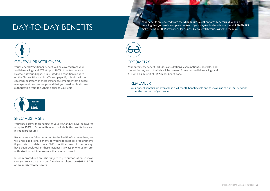Your benefits are covered from the **Millennium Select** option's generous MSA and ATB, meaning that you are in complete control of your day-to-day healthcare spend. RE<br>also make use of our DSP network as far as possible to stretch your savings to the max.



#### GENERAL PRACTITIONERS

Your General Practitioner benefit will be covered from your available savings and ATB at up to 100% of contracted rate. However, if your diagnosis is related to a condition included on the Chronic Disease List (CDL) on **page 10**, this visit will be covered separately. In these instances, remember that disease management protocols apply and that you need to obtain preauthorisation from the Scheme prior to your visit.



#### SPECIALIST VISITS

Your specialist visits are subject to your MSA and ATB, will be covered at up to **150% of Scheme Rate** and include both consultations and in-room procedures.

Because we are fully committed to the health of our members, we will unlock additional benefits for your specialist care requirements if your visit is related to a PMB condition, even if your savings have been depleted! In these instances, always phone us for preauthorisation first to make sure that you're covered.

In-room procedures are also subject to pre-authorisation so make sure you touch base with our friendly consultants on **0861 111 778**  or **preauth@resomed.co.za**.



#### **OPTOMETRY**

Your optometry benefit includes consultations, examinations, spectacles and contact lenses, each of which will be covered from your available savings and ATB with a sub-limit of **R2 795** per beneficiary.

#### REMEMBER

Your optical benefits are available in a 24-month benefit cycle and to make use of our DSP network to get the most out of your cover.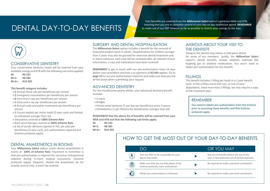### DENTAL DAY-TO-DAY BENEFITS

Your benefits are covered from the **Millennium Select** option's generous MSA and ATB, meaning that you are in complete control of your day-to-day healthcare spend. **REMEMBER** to make use of our DSP network as far as possible to stretch your savings to the max.



#### CONSERVATIVE DENTISTRY

Your conservative dentistry needs will be covered from your available savings and ATB with the following sub-limits applied:

**M: R6 223 M+1: R8 585 M+2+: R10 205**

#### **This benefit category includes:**

- » **2** Annual check-ups per beneficiary per annum
- » **2** Emergency consultations per beneficiary per annum
- » **8** Intra-oral x-rays per beneficiary per annum
- » **1** Extra-oral x-ray per beneficiary per annum
- » **2** Annual scale and polish treatments per beneficiary per annum
- » **1** Fissure sealant per molar tooth (3-year cycle and limited to individuals younger than 16)
- » Extractions covered at **100% Scheme Rate**
- » Root canal therapy covered at **100% Scheme Rate**
- » **1** Set of acrylic dentures (partial or full, per jaw) per beneficiary (4-year cycle, pre-authorisation required and Scheme protocols apply)

#### DENTAL ANAESTHETICS IN ROOMS

Your **Millennium Select** option covers dental anaesthetics in rooms at **100% of Scheme Rate**. Important to remember is that pre-authorisation is required for conscious (intravenous) sedation during in-room surgical procedures (Scheme protocols apply). However, should the anaesthetic be for anxiety control only, it won't be covered.

#### SURGERY AND DENTAL HOSPITALISATION

The **Millennium Select** option includes a benefit for the removal of impacted wisdom teeth in adults. Hospitalisation for children younger than 5 years may also be granted for extensive dental treatment and, in these instances, each case will be reviewed after all relevant clinical information, x-rays and motivations have been received.

**REMEMBER** to get in touch with our pre-authorisation team 14 days before your procedure and that a co-payment of **R2 643** applies. Go to **page 15** for our pre-authorisation check list and make sure that you tick all the boxes when submitting your request.

#### ADVANCED DENTISTRY

For the troublesome pearly whites, your advanced dentistry benefit includes:

- » Crowns
- » Bridges
- » Partial metal dentures (1 per jaw per beneficiary every 3 years)
- » Orthodontics (1 per lifetime for beneficiaries younger than 18)

**REMEMBER that the above list of benefits will be covered from your MSA and ATB and that the following sub-limits apply:**

- **M: R6 223**
- **M+1: R8 585**
- **M+2+: R10 205**

#### ANXIOUS ABOUT YOUR VISIT TO THE DENTIST?

Going to the dentist may induce a mild panic attack for some of our members. Luckily, the **Millennium Select** option's dental benefits include sedation methods like laughing gas or sedative medications. You won't need to obtain pre-authorisation for this benefit.

#### **FILLINGS**

This benefit includes 1 filling per tooth in a 1 year benefit cycle. In the unlikey event that you, or one of your dependants, need more than 5 fillings, we may require a copy of the treatment plan.

#### REMEMBER

You need to obtain pre-authorisation from the Scheme prior to accessing these benefits and that Scheme protocols apply.

### HOW TO GET THE MOST OUT OF YOUR DAY-TO-DAY BENEFITS

|   | $\mathcal{D}(\mathcal{A})$                                                        | OR YOU MAY                                                                                 |
|---|-----------------------------------------------------------------------------------|--------------------------------------------------------------------------------------------|
|   | Visit our DSPs as far as possible for your<br>day-to-day needs                    | Run out of benefits before the end of the<br>year or face potential out-of-pocket expenses |
| 眉 | Make sure that you are fully aware of the<br>Scheme protocols, rules and policies | Be required to make a personal contribution                                                |
|   | Obtain pre-authorisation as indicated                                             | Be required to make a personal contribution                                                |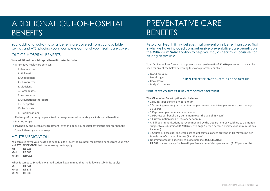### ADDITIONAL OUT-OF-HOSPITAL **BENEFITS**

Your additional out-of-hospital benefits are covered from your available savings and ATB, placing you in complete control of your healthcare cover.

#### OUT-OF-HOSPITAL BENEFITS

**Your additional out-of-hospital benefit cluster includes:**

- » Alternative healthcare services:
	- 1. Acupuncture
	- 2. Biokineticists
	- 3. Chiropodists
	- 4. Chiropractors
	- 5. Dieticians
	- 6. Homeopaths
	- 7. Naturopaths
	- 8. Occupational therapists
	- 9. Osteopaths
	- 10. Podiatrists
	- 11. Social workers
- » Radiology & pathology (specialised radiology covered separately via in-hospital benefits)
- » Physiotherapy
- » Psychology and psychiatric treatment (over and above in-hospital psychiatric disorder benefit)
- » Speech therapy and audiology

#### ACUTE MEDICATION

You can also cover your acute and schedule 0-2 (over the counter) medication needs from your MSA and ATB. **REMEMBER** that the following limits apply:

**M: R6 223 M+1: R8 585**

- **M+2+: R10 205**
- When it comes to Schedule 0-2 medication, keep in mind that the following sub-limits apply:

| M:       | R1 844                         |
|----------|--------------------------------|
| $M+1:$   | R <sub>2</sub> 57 <sub>2</sub> |
| $M+2+$ : | R <sub>3</sub> 030             |

### PREVENTATIVE CARE **BENEFITS**

Resolution Health firmly believes that prevention is better than cure. That is why we have included comprehensive preventative care benefits on the **Millennium Select** option to help you stay as healthy as possible, for as long as possible.

Your family can look forward to a preventative care benefit of **R2 630** per annum that can be used for any of the below screening tests at a pharmacy or clinic.

- » Blood pressure
- » Blood sugar
- » Cholesterol
- » Body Mass Index

#### \* **R124** PER BENEFICIARY OVER THE AGE OF 18 YEARS

YOUR PREVENTATIVE CARE BENEFIT DOESN'T STOP THERE.

#### **The Millennium Select option also includes:**

- » 1 HIV test per beneficiary per annum
- » 1 Screening mammogram examination per female beneficiary per annum (over the age of 35 years)
- » 1 Pap smear per beneficiary per annum
- » 1 PSA test per beneficiary per annum (over the age of 45 years)
- » 1 Flu vaccination per beneficiary per annum
- » Childhood immunisations as recommended by the Department of Health up to 18 months, subject to a sub-limit of **R1 978** (refer to **page 16** for a detailed overview of immunisations included)
- » 1 Course (3 doses per registered schedule) cervical cancer prevention (HPV) vaccine per female beneficiary per lifetime (9 – 25 years)
- » Unlimited access to specialised nurse helpline (**086 111 2162**)
- » **R1 584** oral contraception benefit per female beneficiary per annum (**R132** per month)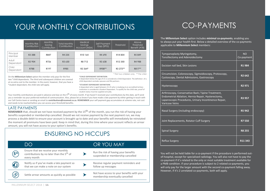### YOUR MONTHLY CONTRIBUTIONS

|                     | <b>Monthly Risk</b><br>Contribution | Monthly<br>Saving<br>Contribution | Total Monthly<br>Contribution | <b>Medical</b><br>Savings<br>Account (MSA) | Self Payment<br>Gap (SPG) | <b>Threshold</b> | Above<br><b>Threshold</b><br>Benefit (ATB) |
|---------------------|-------------------------------------|-----------------------------------|-------------------------------|--------------------------------------------|---------------------------|------------------|--------------------------------------------|
| Principal<br>Member | R3 388                              | R847                              | R4 235                        | R10164                                     | R4 690                    | R14854           | R5 849                                     |
| Adult<br>Dependant  | R <sub>2</sub> 904                  | R726                              | R3 630                        | R8 712                                     | R3 638                    | R12 350          | R4 988                                     |
| Child<br>Dependant  | <b>R788</b>                         | R197                              | <b>R985</b>                   | R2 364*                                    | R908**                    | R3 272**         | R817**                                     |

\* First two children only \*\* Per child

On the **Millennium Select** option the member only pays for the first two \*child dependants. The third and subsequent children are covered at no extra cost to the member. In the event, however, that you have a \*student dependant, the child rate will apply.

A dependant below the age of 21 is considered a Child Dependant. The definition of a child dependant excludes spouses and life partners.

#### **\*STUDENT DEPENDANT DEFINITION:**

**\*CHILD DEPENDANT DEFINITION:**

A dependant who is aged between 21-25 who is studying at an accredited tertiary institution is considered a Student Dependant. To qualify for the child rate, proof of student status must be supplied annually.

Your monthly contributions are paid in advance and due on the 5<sup>th</sup> of every month. If we haven't received your contributions by this date, we'll send you a reminder via your preferred method of communication. Also, please let us know if you have made a late payment by either getting in touch with our Call Centre team or sending an email to **contributions@resomed.co.za**. **REMEMBER** your self payment gap accumulates at scheme rate, not cost and needs to be reached before you can access your threshold benefits.

#### LATE PAYMENTS

**REMEMBER** that, should we not have received payment by the 15<sup>th</sup> of the month, you run the risk of having your benefits suspended or membership cancelled. Should we not receive payment by the next payment run, we may process a double debit to ensure your account is brought up to date and your benefits will immediately be reinstated the moment all premiums have been paid. Keep in mind that, during this time where your account reflects an arrear amount, you will not have access to your option's benefits.

### ENSURING NO HICCUPS

|                 | DO                                                                                                          | OR YOU MAY                                                                    |
|-----------------|-------------------------------------------------------------------------------------------------------------|-------------------------------------------------------------------------------|
| 5 <sup>th</sup> | Ensure that we receive your monthly<br>contributions by no later than the 5 <sup>th</sup> of<br>every month | Run the risk of having your benefits<br>suspended or membership cancelled     |
| ſŧ,             | Notify us if you've made a late payment so<br>that we can make a note on our system                         | Receive regular payment reminders and<br>follow up messages                   |
|                 | Settle arrear amounts as quickly as possible                                                                | Not have access to your benefits with your<br>membership eventually cancelled |

### CO-PAYMENTS

The **Millennium Select** option includes **minimal co-payments**, enabling you to always put your health first. Below a detailed overview of the co-payments applicable to **Millennium Select** members:

| Tympanoplasty Myringotomy,<br>Tonsillectomy and Adenoidectomy                                                                                                                             | <b>NO</b><br>Co-payment |
|-------------------------------------------------------------------------------------------------------------------------------------------------------------------------------------------|-------------------------|
| Excision nail bed, Skin Lesions                                                                                                                                                           | R1984                   |
| Circumcision, Colonoscopy, Sigmoidoscopy, Protoscopy,<br>Cystoscopy, Dental Admissions, Gastroscopy                                                                                       | R <sub>2</sub> 642      |
| Hysteroscopy                                                                                                                                                                              | R <sub>2</sub> 971      |
| Arthroscopy, Conservative Back / Spine Treatment,<br>Endometrial Ablation, Hernia Repair, Hysterectomy,<br>Laparoscopic Procedures, Urinary Incontinence Repair,<br><b>Varicose Veins</b> | R3 957                  |
| Nasal Surgery (including endoscopy)                                                                                                                                                       | <b>R5 942</b>           |
| Joint Replacements, Rotator Cuff Surgery                                                                                                                                                  | <b>R7550</b>            |
| <b>Spinal Surgery</b>                                                                                                                                                                     | <b>R8 255</b>           |
| Reflux Surgery                                                                                                                                                                            | R11 343                 |

You will not be held liable for a co-payment if the procedure is performed outof-hospital, except for specialised radiology. You will also not have to pay the co-payment if it's related to the only or most suitable treatment available for a PMB condition. If your procedure is subject to 2 related co-payments, you will only pay for the larger amount with the second co-payment falling away. However, if it's 2 unrelated co-payments, both will apply.

MILLENNIUM SELECT 2018 | **14**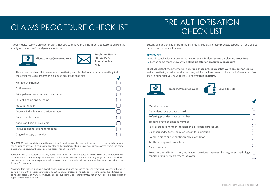### CLAIMS PROCEDURE CHECKLIST THE AUTHORITY

## PRE-AUTHORISATION

If your medical service provider prefers that you submit your claims directly to Resolution Health, simply send a copy of the signed claim form to:



 **clientservices@resomed.co.za** 



Please use the check list below to ensure that your submission is complete, making it all the easier for us to process the claim as quickly as possible:  $\overline{\phantom{a}}$ 

| Membership number                       |  |
|-----------------------------------------|--|
| Option name                             |  |
| Principal member's name and surname     |  |
| Patient's name and surname              |  |
| Practice number                         |  |
| Doctor's individual registration number |  |
| Date of doctor's visit                  |  |
| Nature and cost of your visit           |  |
| Relevant diagnostic and tariff codes    |  |
| Original or copy of receipt             |  |

**REMEMBER** that your claim cannot be older than 4 months, so make sure that you submit the relevant documentation as soon as possible. If your claim is related to the treatment of injuries or expenses recovered from a 3rd party, please attach a statement with a detailed description of the event.

Resolution Health processes claims payments twice a month or at our discretion. You will receive a comprehensive claims statement after every payment run that will include a detailed description of any irregularities as and when relevant. You or your service provider will have 60 days to correct these irregularities and resubmit the claim to the Scheme for payment.

Also important to keep in mind is that all claims must correspond to Scheme rules so remember to confirm that your claim is in line with all other benefit schedule stipulations, protocols and policies to ensure a smooth and stress free claiming process. Visit www.resomed.co.za or call our friendly call centre on **0861 796 6400** to obtain a detailed list of applicable Scheme exclusions.

Getting pre-authorisation from the Scheme is a quick and easy process, especially if you use our rather handy check list below.

#### **REMEMBER**

» Get in touch with our pre-authorisation team **14 days before an elective procedure** » Let the same team know within **48 hours after an emergency procedure**

**REMEMBER** that the Scheme will only **fund those procedures that were pre-authorised** so make sure that you ask your doctor if any additional items need to be added afterwards. If so, keep in mind that you have to let us know **within 48 hours.**





| Member number                                                                                                                        |  |
|--------------------------------------------------------------------------------------------------------------------------------------|--|
| Dependant code or date of birth                                                                                                      |  |
| Referring provider practice number                                                                                                   |  |
| Treating provider practice number                                                                                                    |  |
| Facility practice number (hospital or clinic rooms procedure)                                                                        |  |
| Diagnosis code, ICD 10 code or reason for admission                                                                                  |  |
| Co-morbidities or pre-existing medical condition                                                                                     |  |
| Tariffs or proposed procedure                                                                                                        |  |
| Date of service                                                                                                                      |  |
| Relevant clinical information, motivation, previous treatment history, x-rays, radiology<br>reports or injury report where indicated |  |

 $\bullet$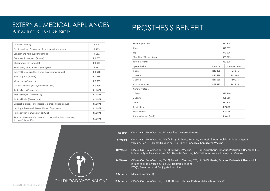### EXTERNAL MEDICAL APPLIANCES

Annual limit: R11 871 per family

| Crutches (annual)                                                                        | R 775   |
|------------------------------------------------------------------------------------------|---------|
| Elastic stockings for control of varicose veins (annual)                                 | R 775   |
| Leg, arm and neck supports (annual)                                                      | R 992   |
| Orthopaedic footwear (annual)                                                            | R 1 057 |
| Glucometers (3-year cycle)                                                               | R 1 057 |
| Nebulisers / humidifiers (3-year cycle)                                                  | R 992   |
| External breast prosthesis after mastectomy (annual)                                     | R1568   |
| Back supports (annual)                                                                   | R4480   |
| Wheelchairs (3-year cycle)                                                               | R 6 593 |
| CPAP Machine (3-year cycle only at DSPs)                                                 | R 9 100 |
| Artificial eyes (5-year cycle)                                                           | R 11871 |
| Artificial larynx (5-year cycle)                                                         | R 11871 |
| Artificial limbs (5-year cycle)                                                          | R 11871 |
| Disposable bladder and intestinal excretion bags (annual)                                | R 11871 |
| Hearing aids (annual, 3-year lifespan / appliance)                                       | R 11871 |
| Home oxygen (annual, only at DSPs)                                                       | R 11871 |
| Sleep apnoea monitors (infants < 1-year and only at pharmacy,<br>1 / beneficiary / life) | R 11871 |

CHILDHOOD VACCINATIONS

| Overall plan limit       |          | R62 825       |  |
|--------------------------|----------|---------------|--|
| Knee                     |          | R47 697       |  |
| Hip                      |          | R43 276       |  |
| Shoulder / Elbow / Ankle |          | R55 303       |  |
| External fixator         |          | R62 825       |  |
| <b>Spinal Fusion</b>     | Cervical | Lumbar dorsal |  |
| 1 Level                  | R22 250  | R27841        |  |
| 2 Levels                 | R34 499  | R42 664       |  |
| 3 Levels                 | R47 686  | R50 376       |  |
| 4 Or more levels         | R62 825  | R62 825       |  |
| <b>Coronory Stents</b>   |          |               |  |
| 1 Stent                  |          | R23 706       |  |
| 2 Stents                 |          | R38 856       |  |
| Total                    |          | R62 825       |  |
| Pelvic floor             |          | R7828         |  |
| Hernia mesh              |          | R7828         |  |
| Intraocular lens (each)  |          | R3 629        |  |

**At birth** OPV(1) Oral Polio Vaccine, BCG Bacilles Calmette Vaccine

- **6 Weeks** OPV(2) Oral Polio Vaccine, DTP/Hib(1) Diptheria, Tetanus, Pertussis & Haemophilus influenza Type B vaccine, Heb B(1) Hepatitis Vaccine, PCV(1) Pneumococcal Conjugated Vaccine
- **10 Weeks** OPV(3) Oral Polio Vaccine, RV (1) Rotavirus Vaccine, DTP/Hib(2) Diptheria, Tetanus, Pertussis & Haemophilus influenza Type B vaccine, Heb B(2) Hepatitis Vaccine, PCV(2) Pneumococcal Conjugated Vaccine

**14 Weeks** OPV(4) Oral Polio Vaccine, RV (2) Rotavirus Vaccine, DTP/Hib(3) Diptheria, Tetanus, Pertussis & Haemophilus influenza Type B vaccine, Heb B(3) Hepatitis Vaccine, PCV(3) Pneumococcal Conjugated Vaccine,

**9 Months** Measles Vaccine(1)

**18 Months** OPV(5) Oral Polio Vaccine, DTP Diptheria, Tetanus, Pertussis Measels Vaccine (2)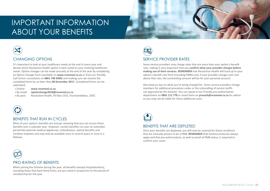### IMPORTANT INFORMATION ABOUT YOUR BENEFITS



#### CHANGING OPTIONS

It's important to look at your healthcare needs at the end of every year and decide which Resolution Health option is best suited to your evolving healthcare needs. Option changes can be made annually at the end of the year by completing an Option Change Form (available on **www.resomed.co.za** or from our friendly Call Centre consultants on **0861 796 6400**) and making sure we receive the completed form by no later than **08 December 2017.** Completed forms can be submitted:

- » Online: **www.resomed.co.za**
- » By email: **optionchange2018@resomed.co.za**
- » By post: Resolution Health, PO Box 1555, Fountainebleau, 2032



**R**

#### BENEFITS THAT RUN IN CYCLES

Most of your option's benefits are annual, meaning that you can access these benefits over a calendar year. However, certain benefits run over an extended period like external medical appliances, orthodontics, optical benefits and cochlear implants and may only be available once in several years or once in a lifetime.



#### SERVICE PROVIDER RATES

Some service providers may charge rates that are more than your option's benefit rate, making it very important that you **confirm what your provider charges before making use of their services. REMEMBER** that Resolution Health will fund up to your option's benefit rate limit (including PMBs) and, if your provider charges over and above that rate, the outstanding amount will be for your personal account.

Also keep an eye on what you're being charged for. Some service providers charge members for additional procedure codes or the unbundling of service tariffs not approved by the Scheme. You can speak to our friendly pre-authorisation department on **0861 111 778** or email them on **preauth@resomed.co.za** for advice as you may not be liable for these additional costs.



#### BENEFITS THAT ARE DEPLETED

Once your benefits are depleted, you will only be covered for those conditions that are clinically proven to be a PMB. **REMEMBER** that Scheme protocols always apply and that pre-authorisation, as well as proof of PMB status, is required to confirm your cover.

### PRO-RATING OF BENEFITS

including those that have Rand limits, are pro-rated in proportion to the period of membership for the vear When joining the Scheme during the year, all benefits (except hospitalisation). membership for the year.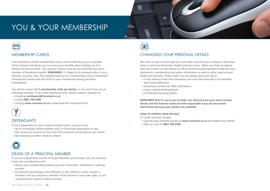### YOU & YOUR MEMBERSHIP



Your Resolution Health membership card is used to identify you as a member of the Scheme and allows you to access your benefits when making use of a medical service provider. The card can only be used by you and while you are a member of Resolution Health. **REMEMBER**, it's illegal to let someone who is not a member use your card. The unauthorised use of a membership card is considered a fraudulent activity and will result in your membership being cancelled immediately.

You will be issued with **2 membership cards per family,** or one card if you are an individual member. If you need additional cards, please submit a request by:

- » Emailing **cardrequest@resomed.co.za**
- » Calling **0861 796 6400**
- » Visiting **www.resomed.co.za** to download the necessary form



#### DEPENDANTS

To be a dependant on your medical scheme cover, a person must:

- » Be an immediate family member and / or financially dependent on you
- » Not receive an income of more than the maximum social pension per month
- » Not belong to another medical scheme



#### DEATH OF A PRINCIPAL MEMBER

If you are a dependant and the Principal Member passes away, you can continue to pay the contributions and:

- » Retain your membership without any new restrictions, limitations or waiting periods
- » If orphaned (according to the definition in the Scheme's rules), remain a member until you become a member of the Scheme in your own right, or are accepted onto another medical scheme

**IN HOSPITAL PROVIDER'S FEES** CHANGING YOUR PERSONAL DETAILS

We want to stay in touch with you and make sure that you're always in the know when it comes to Resolution Health and your cover. Make sure that we always have your latest contact details on file to avoid missing important things like your statements, membership and option information as well as other news on your healthcare benefits. Please make sure we always have your latest:

- » E-mail address (note that statements are sent electronically to all members with email addresses)
- » Cell phone number for SMS notifications
- » Claims refund banking details
- » Contribution banking details

**REMEMBER that it's up to you to make sure that we have your latest contact details and the Scheme cannot be held responsible if you do not receive information because your details are outdated.** 

#### **HOW TO UPDATE YOUR DETAILS**

It's quick and easy. Simply:

- » Log into your member portal on **www.resomed.co.za** and update your details
- » Give us a call on **0861 796 6400**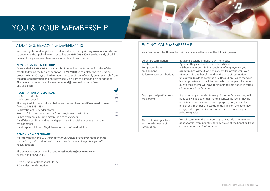### YOU & YOUR MEMBERSHIP

#### ADDING & REMOVING DEPENDANTS

You can register or deregister dependants at any time by visiting **www.resomed.co.za** to download the applicable form or call us on **0861 796 6400**. Use the handy check lists below of things we need to ensure a smooth and quick process.

#### **NEW-BORNS AND ADOPTIONS**

Once added, **REMEMBER** that contributions will be due from the first day of the month following the birth or adoption. **REMEMBER** to complete the registration process within 30 days of birth or adoption to avoid benefits only being available from the date of registration and not retrospectively from the date of birth or adoption. The below documents can be sent to **amend@resomed.co.za** or faxed to **086 513 1438**.

 $\blacksquare$ 

 $\sqrt{2}$ 

| <b>REGISTRATION OF DEPENDANT</b>                                                 |  |
|----------------------------------------------------------------------------------|--|
| » Birth certificate                                                              |  |
| » Children over 21                                                               |  |
| The required documents listed below can be sent to <b>amend@resomed.co.za</b> or |  |
| faxed to 086 513 1438.                                                           |  |
| Registration of Dependant form                                                   |  |
| Proof of full-time student status from a registered institution                  |  |
| (submitted annually up to maximum age of 25 years)                               |  |
| An affidavit confirming that the dependant is financially dependent on the       |  |
| main member                                                                      |  |
| Handicapped children: Physician report to confirm disability                     |  |
|                                                                                  |  |

#### **REMOVING A DEPENDANT**

*It's important to give us 1 calendar month's notice of any event that changes the status of a dependant which may result in them no longer being entitled to any benefits* 

The below documents can be sent to **resignations@resomed.co.za** or faxed to **086 513 1438** 

| Deregistration of Dependants form |  |
|-----------------------------------|--|
| 1 Calendar month's notice         |  |

#### ENDING YOUR MEMBERSHIP

Your Resolution Health membership can be ended for any of the following reasons:

| Voluntary termination<br>Death<br>Resignation from<br>employment<br>Failure to pay contributions | By giving 1 calendar month's written notice<br>By submitting a copy of the death certificate<br>If Scheme membership is a condition of employment you<br>cannot resign without written consent from your employer<br>Membership and benefits end on the date of resignation,<br>unless you decide to continue as a Resolution Health member<br>in your private capacity. Members who do not pay all amounts<br>due to the Scheme will have their membership ended in terms<br>of the rules of the Scheme |
|--------------------------------------------------------------------------------------------------|----------------------------------------------------------------------------------------------------------------------------------------------------------------------------------------------------------------------------------------------------------------------------------------------------------------------------------------------------------------------------------------------------------------------------------------------------------------------------------------------------------|
| Employer resignation from<br>the Scheme                                                          | If your employer decides to resign from the Scheme they will<br>need to give us 1 calendar month's written notice. If they do<br>not join another scheme as an employer group, you will no<br>longer be a member of Resolution Health from the date they<br>resign, unless you decide to continue as a member in your<br>private capacity                                                                                                                                                                |
| Abuse of privileges, fraud<br>and non-disclosure of<br>information                               | We will terminate the membership, or exclude a member or<br>dependant(s) from benefits, for any abuse of the benefits, fraud<br>or non-disclosure of information                                                                                                                                                                                                                                                                                                                                         |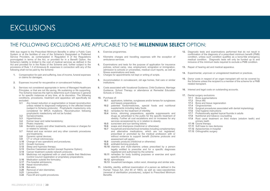### EXCLUSIONS

#### THE FOLLOWING EXCLUSIONS ARE APPLICABLE TO THE **MILLENNIUM SELECT** OPTION:

With due regard to the Prescribed Minimum Benefits in either a Public Care System or at the facilities of one of the Scheme's Designated or Preferred Service Providers, as contemplated in Regulation 8 of the Regulations promulgated in terms of the Act, or provided for in a Benefit Option, the Scheme's liability is limited to the cost of medical services as defined in the Act and provided for in the Rules of the Scheme and, further subject to the provisions of Rule 1.3 of Annexure B, expenses in connection with any of the following shall not be paid by the Scheme:

- **1.** Compensation for pain and suffering, loss of income, funeral expenses or claims for damages.
- **2.** Expenses incurred for recuperative or convalescent holidays.
- **3.** Services not considered appropriate in terms of Managed Healthcare Principles, or that are not life saving, life sustaining or life supporting, The Scheme reserves the right to determine such instances in general or for specific instances at any time, at its discretion. The following conditions, procedures, treatment and apparatus will specifically be excluded:
	- **3.1** Any breast reduction or augmentation or breast reconstruction unless related to diagnosed malignancy in the affected breast (subject to Scheme protocols). Prophylactic mastectomy only considered for BRCA mutations. Reconstruction following prophylactic mastectomy will not be funded.
	- **3.2** Gynaecomastia;<br>3.3 Hyperbidrosis;
	- **3.3** Hyperhidrosis;<br>**3.4** Eximer laser at
	- **3.4** Eximer laser and radial keratotomy;<br>**3.5** Phakic implants:
	- **3.5** Phakic implants;<br>**3.6** Bariatric surgery
	- **3.6** Bariatric surgery and other treatments, services or charges for or related to obesity;
	- **3.7** Keloid and scar revision and any other cosmetic procedures and treatments;
	- **3.8** Dynamic spinal devices;<br>**3.9** CT or virtual colonoscopy
	- **3.9** CT or virtual colonoscopy;
	- **3.10** Change of sex operations and procedures;
	- **3.11** Growth hormone;
	- **3.12** Sleep and hypnosis therapy;
	- **3.13** Elective Caesarean section (except Supreme Option);
	- **3.14** Cancer treatment outside network protocols;
	- **3.15** Medicines not registered with or used outside their Medicines Control Council registration or proprietary preparations:
	- **3.16** Medication outside the formulary;
	- **3.17** Pre-hospital admissions;
	- **3.18** Nasal reconstruction;
	- **3.19** Bat-ears;
	- **3.20** Removal of skin blemishes;
	- **3.21** Liposuction;
	- **3.22** Face-lift and eyelid procedures.
- **4.** Exercise programmes.
- **5.** Kilometre charges and travelling expenses with the exception of ambulance services.
- **6.** Examinations and tests for the purpose of application for insurance policies, school camp, visa, employment, emigration or immigration, admission to schools or universities, medical court reports, as well as fitness examinations and tests.
- **7.** Charges for appointments not kept or writing of scripts.
- **8.** Accommodation in convalescent, old age homes, frail care or similar institutions.
- **9.** Costs associated with Vocational Guidance, Child Guidance, Marriage Guidance, School Therapy or attendance at Remedial Education Schools or Clinics.
- **10.** Purchase of:
	- **10.1** applicators, toiletries, sunglasses and/or lenses for sunglasses and beauty preparations
	- **10.2** patented foods/medicines, special foods and nutritional supplements including baby foods
	- **10.3** remedies for the treatment of infertility
	- **10.4** tonics, slimming preparations, appetite suppressants and drugs as advertised to the public for the specific treatment of obesity. Further all cost escalations and /or increases for any services accessioned by or in relation to obesity
	- **10.5** sunscreen and sun tanning lotions
	- **10.6** soaps and shampoos (medicinal or otherwise)
	- **10.7** household and biochemical remedies including complementary and alternative medications, which are not registered, prescribed or promoted by the medical profession with or without evidence to support benefit (Scheme protocols and assessment will apply).
	- **10.8** cosmetic products (medicinal or otherwise)
	- **10.9** antihabit-forming products
	- **10.10** vitamins and multi-vitamins unless prescribed by a person legally entitled to prescribe and for a specific diagnoses registered and authorised by the scheme
	- **10.11** remedies for body building purposes or exercise and sport specific enhancers
	- **10.12** aphrodisiacs
	- **10.13** household bandages, cotton wool, dressings and similar aids.
- **11.** Infertility, sterility, artificial insemination of a person as defined in the Human Tissue Act, (Act 65 of 1983), as well as vaso-vasostomies (reversal of sterilisation procedures), subject to Prescribed Minimum Benefits.
- **12.** Diagnostic tests and examinations performed that do not result in confirmation of the diagnosis of a prescribed minimum benefit (PMB) condition, unless such condition qualifies as a bona-fide emergency medical condition. Diagnostic tests will only be funded up to and inclusive of the minimum tests required to exclude a PMB condition.
- **13.** Repair of hearing aid and medical apparatus.
- **14.** Experimental, unproven or unregistered treatment or practices.
- **15.** Donor costs in respect of an organ transplant will not be covered by the Scheme unless the recipient is a member of the scheme for a PMB related transplant.
- **16.** Interest and legal costs on outstanding accounts.
- **17.** Dental surgery exclusions
	- **17.1** Bone augmentations
	- **17.2** Sinus lifts
	- **17.3** Bone and tissue regeneration
	- **17.4 Gingivectomies**<br>**17.5 Surgical proced**
	- **17.5** Surgical procedures associated with dental implantology
	- **17.6** Oral hygiene instructions
	- **17.7** Professionally applied topical fluoride in adults **17.8** Nutritional and tobacco counselling
	- **17.8** Nutritional and tobacco counselling
	- **17.9** Root canal treatment on third molars (wisdom teeth) and primary teeth
	- **17.10** Ozone therapy
	- **17.11** Soft base to new dentures
	- **17.12** Apisectomies in-hospital
	- **17.13** Orthognathic surgery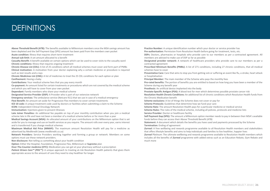### DEFINITIONS

**Above Threshold Benefit (ATB):** The benefits available to Millennium members once the MSA savings amount has been depleted and the Self Payment Gap (SPG) amount has been paid from the members own pocket

**Acute condition:** Illness that requires short-term treatment

**Annual sub-limit:** A set amount allocated to a benefit

**Casualty Benefit:** A benefit available on certain options which can be used to cover visits to the casualty ward **Chronic conditions:** Illness that requires ongoing treatment

**Chronic Disease List (CDL):** A list of 25 conditions which all medical schemes must cover and form part of PMBs **Clinical motivation:** A motivation from your doctor explaining why a certain medicine or procedure is required such as test results and x-rays

**Chronic Medicines List (CML):** A list of medicines to treat the 25 CDL conditions for each option or plan **Confinement:** Having a baby

**Contributions:** Your medical scheme fees that you pay every month

**Co-payment:** An amount listed for certain treatments or procedures which are not covered by the medical scheme and which you will have to cover from your own pocket

**Dependant:** Family members who share your medical scheme

**Designated Service Provider (DSP):** A Provider who is part of our extensive network

**Emergency services:** The ambulance service (Netcare 911) that we use in case of a medical emergency **Flexi Benefit:** An amount set aside for Progressive Flex members to cover certain treatments

**ICD 10 code:** A unique treatment code used by doctors or facilities when submitting a claim to the Scheme **ICON:** Independent Clinical Oncology Network

**Immunisation:** Injections given to prevent illnesses

**Late Joiner Penalties:** An additional fee payable on top of your monthly contribution when you join a medical scheme late in life and have not been a member of a medical scheme before or for more than a year

**Medical Savings Account (MSA):** An allocated amount of your contributions on the Millennium option that is set aside for you to manage and use on health services as you require. The amount rolls over every year, earns interest and is transferred if you change medical schemes

**Maximum Medical Aid Price (MMAP):** The maximum amount Resolution Health will pay for a medicine as advertised by Medikredit (www.medikredit.co.za)

**Network Providers:** Service Providers working together and forming a group or network. Members on some options must use these network providers.

**Non-disclosure:** Not telling us something about your health condition

**Option:** Either the Hospital, Foundation, Progressive Flex, Millennium or **Supreme** plan

**Over-The-Counter medicine (OTC):** Medication you can get at your pharmacy without a prescription

*Patient Driven Care™ (PDC™)*: A unique approach to treating at-risk Resolution Health patients that gives them appropriate access to the amount of care they need to stay healthier for longer

**Practice Number:** A unique identification number which your doctor or service provider has

**Pre-authorisation:** Permission from Resolution Health before going for treatment, tests, etc.

**DSPs:** Doctors, pharmacies or hospitals who provide care to our members as per a contracted agreement. All members are advised to make use of DSP as far as possible

**Designated provider network:** A network of healthcare providers who provide care to our members as per a contracted agreement

**Prescribed Minimum Benefits (PMBs):** A list of 271 conditions, including 27 chronic conditions, that all medical schemes have to cover

**Preventative Care:** Care that aims to stop you from getting sick or suffering an event like flu, a stroke, heart attack or hospitalisation

**Principal Member:** The main member of the Scheme who pays the monthly fees

**Pro-rated benefits:** The portion of benefits you are entitled to based on how long you have been a member of the Scheme during any benefit year

**Prosthesis:** An artificial device implanted into the body

**Prostate-Specific Antigen (PSA):** A blood test for men which determines possible prostate cancer risk

**Resolution Health Chronic Conditions:** An additional list of chronic conditions which Resolution Health funds from the Chronic Medication benefit

**Scheme exclusions:** A list of things the Scheme does not cover or pay for

**Scheme Protocols:** Guidelines that determine how we fund your care

**Scheme Rate:** The amount Resolution Health pays for a particular medicine or medical service

**Scheme Rules:** The rules of the medical scheme, including all policies, protocols and medicine lists

**Service Provider:** Doctor or healthcare facility

**Self Payment Gap (SPG):** The amount a Millennium option member needs to pay in between their MSA's available funds before they can access their Above Threshold Benefit (ATB)

**Statement:** A document which details the benefits you have used and payments processed by the Scheme **Termination:** Ending of agreement

*Zurreal:* A free wellbeing and rewards programme available to all Resolution Health members and stakeholders that offers lifestyle benefits and aims to help individuals and families to live healthier, happier lives

*Zurreal Platinum*: The ultimate wellbeing and rewards programme available to Resolution Health members which includes all the benefits of *Zurreal* programme with added extras such as an Education Rebate, Gym Rebate and much more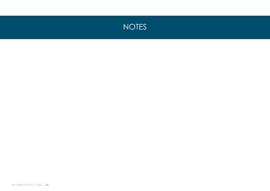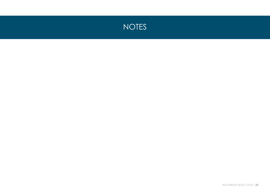